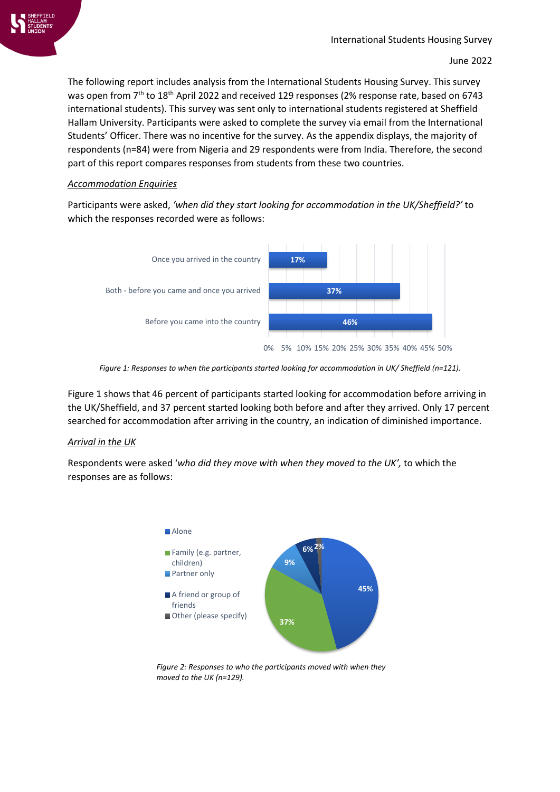

The following report includes analysis from the International Students Housing Survey. This survey was open from 7<sup>th</sup> to 18<sup>th</sup> April 2022 and received 129 responses (2% response rate, based on 6743 international students). This survey was sent only to international students registered at Sheffield Hallam University. Participants were asked to complete the survey via email from the International Students' Officer. There was no incentive for the survey. As the appendix displays, the majority of respondents (n=84) were from Nigeria and 29 respondents were from India. Therefore, the second part of this report compares responses from students from these two countries.

### *Accommodation Enquiries*

Participants were asked, *'when did they start looking for accommodation in the UK/Sheffield?'* to which the responses recorded were as follows:



*Figure 1: Responses to when the participants started looking for accommodation in UK/ Sheffield (n=121).*

Figure 1 shows that 46 percent of participants started looking for accommodation before arriving in the UK/Sheffield, and 37 percent started looking both before and after they arrived. Only 17 percent searched for accommodation after arriving in the country, an indication of diminished importance.

# *Arrival in the UK*

Respondents were asked '*who did they move with when they moved to the UK',* to which the responses are as follows:



*Figure 2: Responses to who the participants moved with when they moved to the UK (n=129).*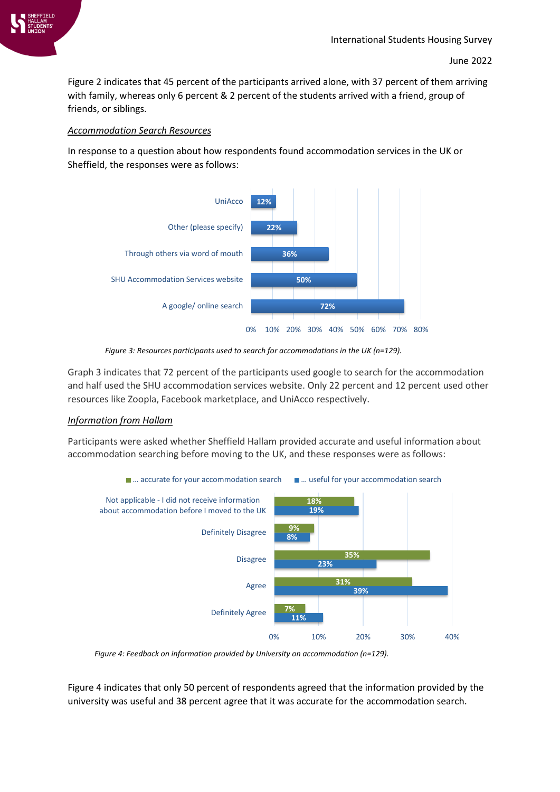

Figure 2 indicates that 45 percent of the participants arrived alone, with 37 percent of them arriving with family, whereas only 6 percent & 2 percent of the students arrived with a friend, group of friends, or siblings.

### *Accommodation Search Resources*

In response to a question about how respondents found accommodation services in the UK or Sheffield, the responses were as follows:



*Figure 3: Resources participants used to search for accommodations in the UK (n=129).*

Graph 3 indicates that 72 percent of the participants used google to search for the accommodation and half used the SHU accommodation services website. Only 22 percent and 12 percent used other resources like Zoopla, Facebook marketplace, and UniAcco respectively.

# *Information from Hallam*

Participants were asked whether Sheffield Hallam provided accurate and useful information about accommodation searching before moving to the UK, and these responses were as follows:



*Figure 4: Feedback on information provided by University on accommodation (n=129).*

Figure 4 indicates that only 50 percent of respondents agreed that the information provided by the university was useful and 38 percent agree that it was accurate for the accommodation search.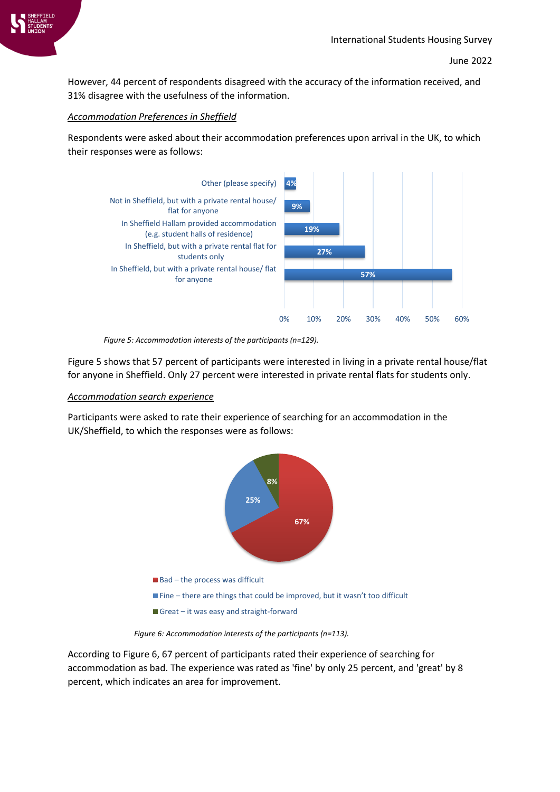

However, 44 percent of respondents disagreed with the accuracy of the information received, and 31% disagree with the usefulness of the information.

### *Accommodation Preferences in Sheffield*

Respondents were asked about their accommodation preferences upon arrival in the UK, to which their responses were as follows:



*Figure 5: Accommodation interests of the participants (n=129).*

Figure 5 shows that 57 percent of participants were interested in living in a private rental house/flat for anyone in Sheffield. Only 27 percent were interested in private rental flats for students only.

#### *Accommodation search experience*

Participants were asked to rate their experience of searching for an accommodation in the UK/Sheffield, to which the responses were as follows:



*Figure 6: Accommodation interests of the participants (n=113).*

According to Figure 6, 67 percent of participants rated their experience of searching for accommodation as bad. The experience was rated as 'fine' by only 25 percent, and 'great' by 8 percent, which indicates an area for improvement.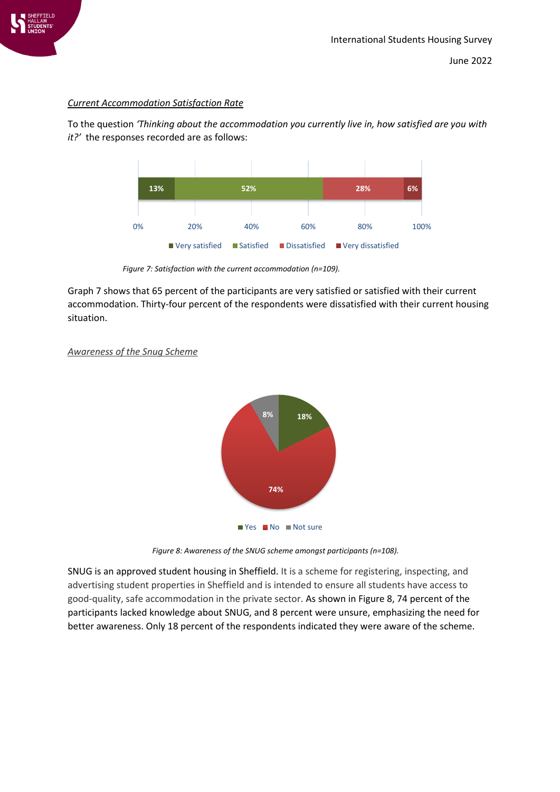

### *Current Accommodation Satisfaction Rate*

To the question *'Thinking about the accommodation you currently live in, how satisfied are you with it?'* the responses recorded are as follows:



*Figure 7: Satisfaction with the current accommodation (n=109).*

Graph 7 shows that 65 percent of the participants are very satisfied or satisfied with their current accommodation. Thirty-four percent of the respondents were dissatisfied with their current housing situation.



### *Awareness of the Snug Scheme*

*Figure 8: Awareness of the SNUG scheme amongst participants (n=108).*

SNUG is an approved student housing in Sheffield. It is a scheme for registering, inspecting, and advertising student properties in Sheffield and is intended to ensure all students have access to good-quality, safe accommodation in the private sector. As shown in Figure 8, 74 percent of the participants lacked knowledge about SNUG, and 8 percent were unsure, emphasizing the need for better awareness. Only 18 percent of the respondents indicated they were aware of the scheme.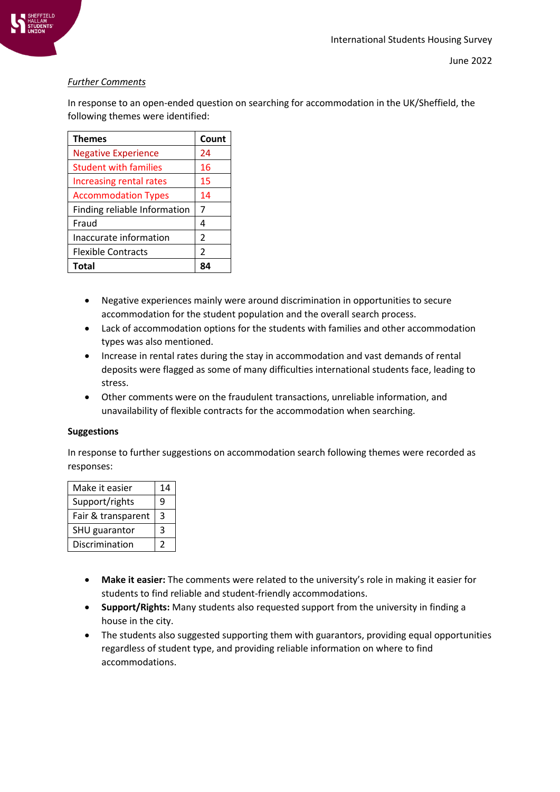

# *Further Comments*

In response to an open-ended question on searching for accommodation in the UK/Sheffield, the following themes were identified:

| <b>Themes</b>                | Count          |
|------------------------------|----------------|
| <b>Negative Experience</b>   | 24             |
| <b>Student with families</b> | 16             |
| Increasing rental rates      | 15             |
| <b>Accommodation Types</b>   | 14             |
| Finding reliable Information | 7              |
| Fraud                        | 4              |
| Inaccurate information       | $\mathcal{P}$  |
| <b>Flexible Contracts</b>    | $\mathfrak{p}$ |
| Total                        |                |

- Negative experiences mainly were around discrimination in opportunities to secure accommodation for the student population and the overall search process.
- Lack of accommodation options for the students with families and other accommodation types was also mentioned.
- Increase in rental rates during the stay in accommodation and vast demands of rental deposits were flagged as some of many difficulties international students face, leading to stress.
- Other comments were on the fraudulent transactions, unreliable information, and unavailability of flexible contracts for the accommodation when searching.

### **Suggestions**

In response to further suggestions on accommodation search following themes were recorded as responses:

| Make it easier     | 14 |
|--------------------|----|
| Support/rights     | q  |
| Fair & transparent | 3  |
| SHU guarantor      | 3  |
| Discrimination     |    |

- **Make it easier:** The comments were related to the university's role in making it easier for students to find reliable and student-friendly accommodations.
- **Support/Rights:** Many students also requested support from the university in finding a house in the city.
- The students also suggested supporting them with guarantors, providing equal opportunities regardless of student type, and providing reliable information on where to find accommodations.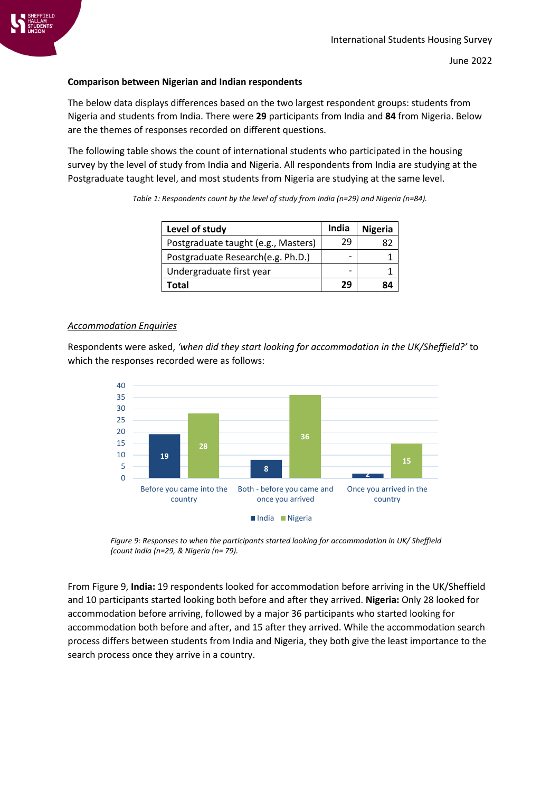

### **Comparison between Nigerian and Indian respondents**

The below data displays differences based on the two largest respondent groups: students from Nigeria and students from India. There were **29** participants from India and **84** from Nigeria. Below are the themes of responses recorded on different questions.

The following table shows the count of international students who participated in the housing survey by the level of study from India and Nigeria. All respondents from India are studying at the Postgraduate taught level, and most students from Nigeria are studying at the same level.

| Level of study                      | India | <b>Nigeria</b> |
|-------------------------------------|-------|----------------|
| Postgraduate taught (e.g., Masters) | 29    |                |
| Postgraduate Research (e.g. Ph.D.)  | -     |                |
| Undergraduate first year            | -     |                |
| Total                               | 29    |                |

#### *Accommodation Enquiries*

Respondents were asked, *'when did they start looking for accommodation in the UK/Sheffield?'* to which the responses recorded were as follows:



*Figure 9: Responses to when the participants started looking for accommodation in UK/ Sheffield (count India (n=29, & Nigeria (n= 79).*

From Figure 9, **India:** 19 respondents looked for accommodation before arriving in the UK/Sheffield and 10 participants started looking both before and after they arrived. **Nigeria:** Only 28 looked for accommodation before arriving, followed by a major 36 participants who started looking for accommodation both before and after, and 15 after they arrived. While the accommodation search process differs between students from India and Nigeria, they both give the least importance to the search process once they arrive in a country.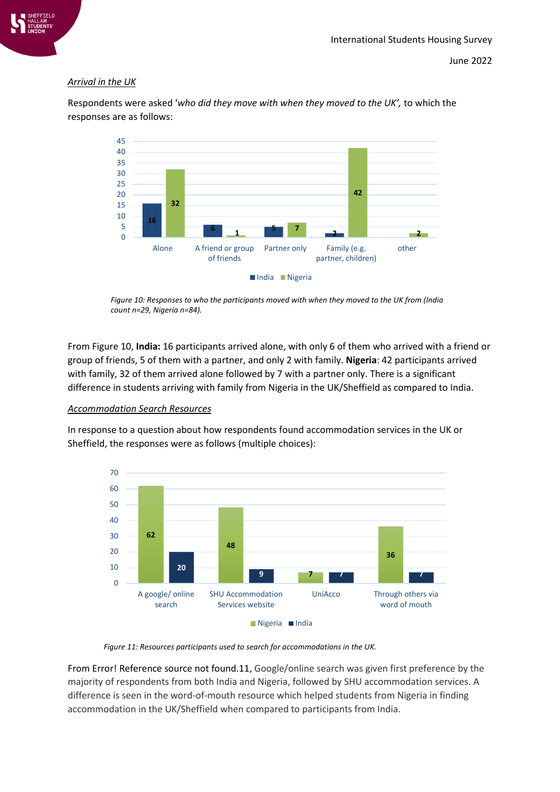

June 2022

# *Arrival in the UK*

Respondents were asked '*who did they move with when they moved to the UK',* to which the responses are as follows:



*Figure 10: Responses to who the participants moved with when they moved to the UK from (India count n=29, Nigeria n=84).*

From Figure 10, **India:** 16 participants arrived alone, with only 6 of them who arrived with a friend or group of friends, 5 of them with a partner, and only 2 with family. **Nigeria**: 42 participants arrived with family, 32 of them arrived alone followed by 7 with a partner only. There is a significant difference in students arriving with family from Nigeria in the UK/Sheffield as compared to India.

### *Accommodation Search Resources*

In response to a question about how respondents found accommodation services in the UK or Sheffield, the responses were as follows (multiple choices):



*Figure 11: Resources participants used to search for accommodations in the UK.*

From Error! Reference source not found.11, Google/online search was given first preference by the majority of respondents from both India and Nigeria, followed by SHU accommodation services. A difference is seen in the word-of-mouth resource which helped students from Nigeria in finding accommodation in the UK/Sheffield when compared to participants from India.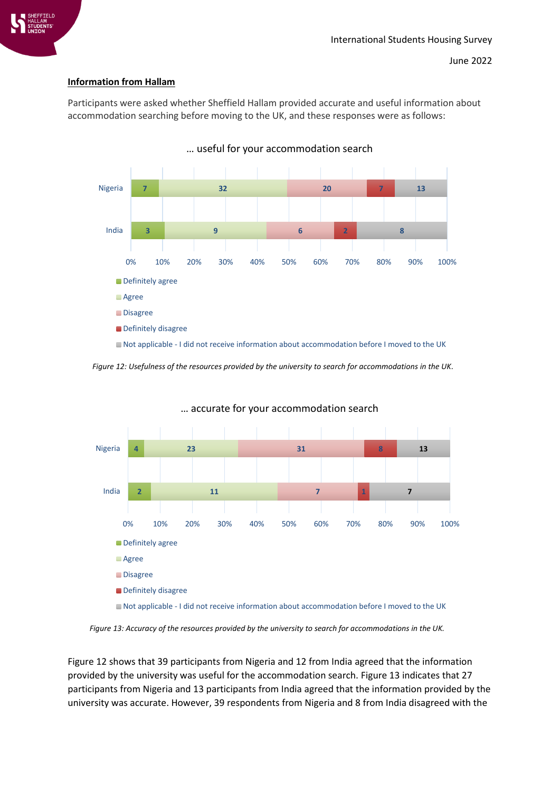

# **Information from Hallam**

Participants were asked whether Sheffield Hallam provided accurate and useful information about accommodation searching before moving to the UK, and these responses were as follows:



*Figure 12: Usefulness of the resources provided by the university to search for accommodations in the UK.*



… accurate for your accommodation search

*Figure 13: Accuracy of the resources provided by the university to search for accommodations in the UK.*

Figure 12 shows that 39 participants from Nigeria and 12 from India agreed that the information provided by the university was useful for the accommodation search. Figure 13 indicates that 27 participants from Nigeria and 13 participants from India agreed that the information provided by the university was accurate. However, 39 respondents from Nigeria and 8 from India disagreed with the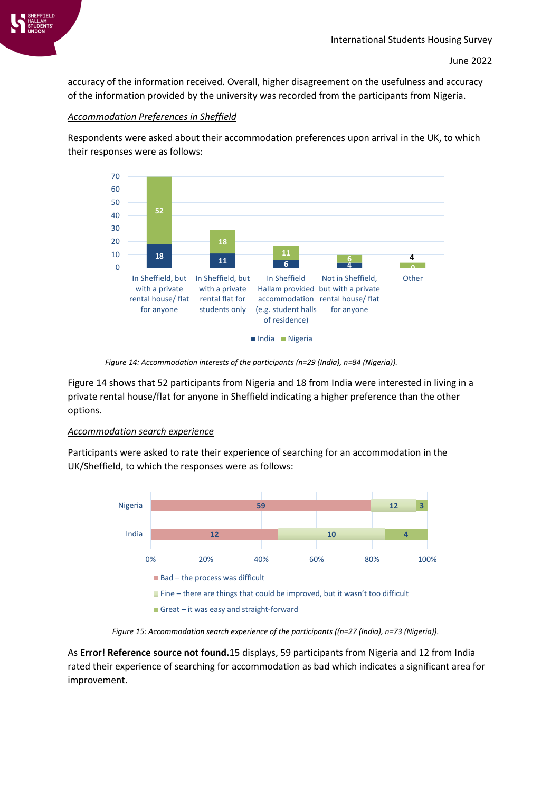

accuracy of the information received. Overall, higher disagreement on the usefulness and accuracy of the information provided by the university was recorded from the participants from Nigeria.

### *Accommodation Preferences in Sheffield*

Respondents were asked about their accommodation preferences upon arrival in the UK, to which their responses were as follows:



*Figure 14: Accommodation interests of the participants (n=29 (India), n=84 (Nigeria)).*

Figure 14 shows that 52 participants from Nigeria and 18 from India were interested in living in a private rental house/flat for anyone in Sheffield indicating a higher preference than the other options.

# *Accommodation search experience*

Participants were asked to rate their experience of searching for an accommodation in the UK/Sheffield, to which the responses were as follows:



*Figure 15: Accommodation search experience of the participants ((n=27 (India), n=73 (Nigeria)).*

As **Error! Reference source not found.**15 displays, 59 participants from Nigeria and 12 from India rated their experience of searching for accommodation as bad which indicates a significant area for improvement.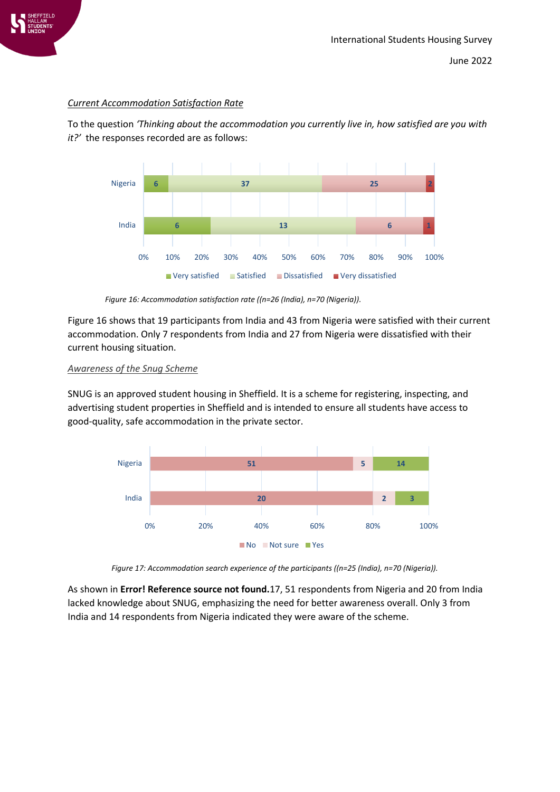

### *Current Accommodation Satisfaction Rate*

To the question *'Thinking about the accommodation you currently live in, how satisfied are you with it?'* the responses recorded are as follows:



*Figure 16: Accommodation satisfaction rate ((n=26 (India), n=70 (Nigeria)).*

Figure 16 shows that 19 participants from India and 43 from Nigeria were satisfied with their current accommodation. Only 7 respondents from India and 27 from Nigeria were dissatisfied with their current housing situation.

### *Awareness of the Snug Scheme*

SNUG is an approved student housing in Sheffield. It is a scheme for registering, inspecting, and advertising student properties in Sheffield and is intended to ensure all students have access to good-quality, safe accommodation in the private sector.



*Figure 17: Accommodation search experience of the participants ((n=25 (India), n=70 (Nigeria)).*

As shown in **Error! Reference source not found.**17, 51 respondents from Nigeria and 20 from India lacked knowledge about SNUG, emphasizing the need for better awareness overall. Only 3 from India and 14 respondents from Nigeria indicated they were aware of the scheme.